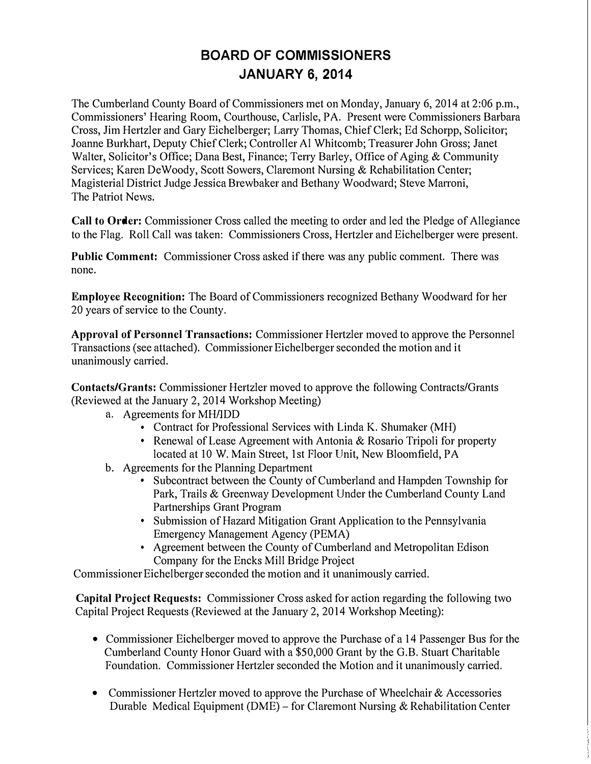## **BOARD OF COMMISSIONERS JANUARY 6, 2014**

The Cumberland County Board of Commissioners met on Monday, January 6, 2014 at 2:06 p.m., Commissioners' Hearing Room, Courthouse, Carlisle, PA. Present were Commissioners Barbara Cross, Jim Hertzler and Gary Eichelberger; Larry Thomas, Chief Clerk; Ed Schorpp, Solicitor; Joanne Burkhati, Deputy Chief Clerk; Controller Al Whitcomb; Treasurer John Gross; Janet Walter, Solicitor's Office; Dana Best, Finance; Terry Barley, Office of Aging & Community Services; Karen De Woody, Scott Sowers, Claremont Nursing & Rehabilitation Center; Magisterial District Judge Jessica Brewbaker and Bethany Woodward; Steve Marroni, The Patriot News.

**Call to Order:** Commissioner Cross called the meeting to order and led the Pledge of Allegiance to the Flag. Roll Call was taken: Commissioners Cross, Hertzler and Eichelberger were present.

**Public Comment:** Commissioner Cross asked if there was any public comment. There was none.

**Employee Recognition:** The Board of Commissioners recognized Bethany Woodward for her 20 years of service to the County.

**Approval of Personnel Transactions:** Commissioner Hertzler moved to approve the Personnel Transactions (see attached). Commissioner Eichelberger seconded the motion and it unanimously carried.

**Contacts/Grants:** Commissioner Hertzler moved to approve the following Contracts/Grants (Reviewed at the January 2, 2014 Workshop Meeting)

- -
- Contract for Professional Services with Linda K. Shumaker (MH)<br>• Renewal of Lease Agreement with Antonia & Rosario Tripoli for property located at 10 W. Main Street, 1st Floor Unit, New Bloomfield, PA<br>b. Agreements for the Planning Department
- - Subcontract between the County of Cumberland and Hampden Township for Park, Trails & Greenway Development Under the Cumberland County Land Partnerships Grant Program<br>
	• Submission of Hazard Mitigation Grant Application to the Pennsylvania
	- Emergency Management Agency (PEMA) Agreement between the County of Cumberland and Metropolitan Edison
	- Company for the Encks Mill Bridge Project

Commissioner Eichelberger seconded the motion and it unanimously carried.

**Capital Project Requests:** Commissioner Cross asked for action regarding the following two Capital Project Requests (Reviewed at the January 2, 2014 Workshop Meeting):

- Commissioner Eichelberger moved to approve the Purchase of a 14 Passenger Bus for the Cumberland County Honor Guard with a \$50,000 Grant by the G.B. Stuart Charitable Foundation. Commissioner Hertzler seconded the Motion and it unanimously carried.
- Commissioner Hertzler moved to approve the Purchase of Wheelchair & Accessories Durable Medical Equipment (DME) - for Claremont Nursing & Rehabilitation Center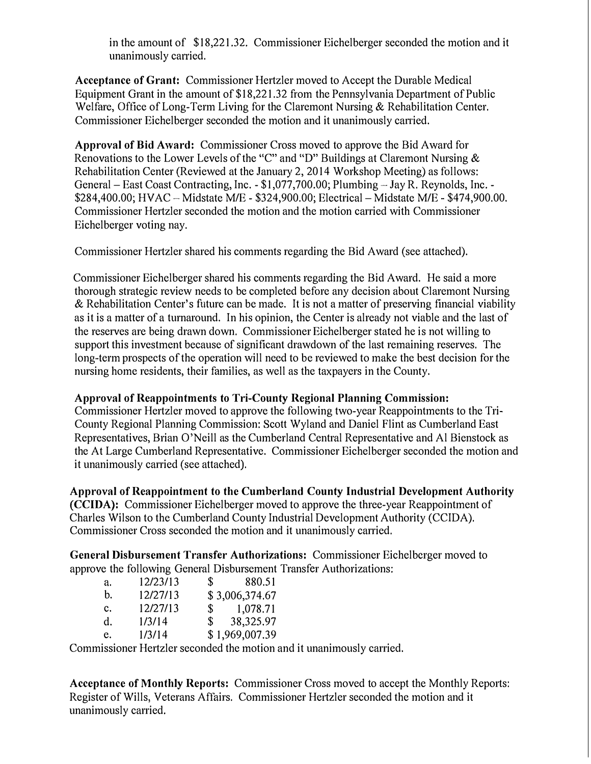in the amount of \$18,221.32. Commissioner Eichelberger seconded the motion and it unanimously carried.

**Acceptance of Grant:** Commissioner Hertzler moved to Accept the Durable Medical Equipment Grant in the amount of \$18,221.32 from the Pennsylvania Department of Public Welfare, Office of Long-Term Living for the Claremont Nursing & Rehabilitation Center. Commissioner Eichelberger seconded the motion and it unanimously carried.

**Apprnval of Bid Award:** Commissioner Cross moved to approve the Bid Award for Renovations to the Lower Levels of the "C" and "D" Buildings at Claremont Nursing & Rehabilitation Center (Reviewed at the January 2, 2014 Workshop Meeting) as follows: General – East Coast Contracting, Inc.  $-$  \$1,077,700.00; Plumbing – Jay R. Reynolds, Inc. -\$284,400.00; HVAC - Midstate M/E - \$324,900.00; Electrical - Midstate M/E - \$474,900.00. Commissioner Hertzler seconded the motion and the motion carried with Commissioner Eichelberger voting nay.

Commissioner Hertzler shared his comments regarding the Bid Award (see attached).

Commissioner Eichelberger shared his comments regarding the Bid Award. He said a more thorough strategic review needs to be completed before any decision about Claremont Nursing & Rehabilitation Center's future can be made. It is not a matter of preserving financial viability as it is a matter of a turnaround. In his opinion, the Center is already not viable and the last of the reserves are being drawn down. Commissioner Eichelberger stated he is not willing to support this investment because of significant drawdown of the last remaining reserves. The long-term prospects of the operation will need to be reviewed to make the best decision for the nursing home residents, their families, as well as the taxpayers in the County.

## Approval of Reappointments to Tri-County Regional Planning Commission:

Commissioner Hertzler moved to approve the following two-year Reappointments to the Tri-County Regional Planning Commission: Scott Wyland and Daniel Flint as Cumberland East Representatives, Brian O'Neill as the Cumberland Central Representative and Al Bienstock as the At Large Cumberland Representative. Commissioner Eichelberger seconded the motion and it unanimously carried (see attached).

**Approval of Reappointment to the Cumberland County Industrial Development Authority (CCIDA):** Commissioner Eichelberger moved to approve the three-year Reappointment of Charles Wilson to the Cumberland County Industrial Development Authority (CCIDA). Commissioner Cross seconded the motion and it unanimously carried.

**General Disbursement Transfer Authorizations:** Commissioner Eichelberger moved to approve the following General Disbursement Transfer Authorizations:

| a. | 12/23/13 | 880.51<br>$\mathbf{s}$   |
|----|----------|--------------------------|
| b. | 12/27/13 | \$3,006,374.67           |
| c. | 12/27/13 | 1,078.71<br>$\mathbf{s}$ |
| d. | 1/3/14   | 38,325.97<br>SS.         |
| e. | 1/3/14   | \$1,969,007.39           |

Commissioner Hertzler seconded the motion and it unanimously carried.

**Acceptance of Monthly Reports:** Commissioner Cross moved to accept the Monthly Reports: Register of Wills, Veterans Affairs. Commissioner Hertzler seconded the motion and it unanimously carried.